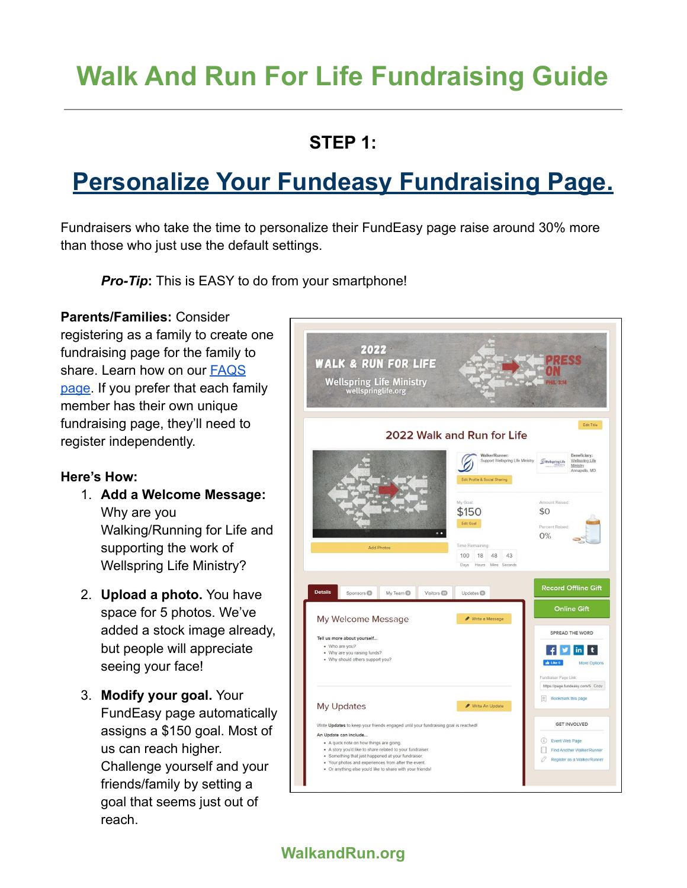# **Walk And Run For Life Fundraising Guide**

### **STEP 1:**

# **Personalize Your Fundeasy Fundraising Page.**

Fundraisers who take the time to personalize their FundEasy page raise around 30% more than those who just use the default settings.

*Pro-Tip***:** This is EASY to do from your smartphone!

**Parents/Families:** Consider registering as a family to create one fundraising page for the family to share. Learn how on our [FAQS](https://www.walkandrun.org/faqs/) [page.](https://www.walkandrun.org/faqs/) If you prefer that each family member has their own unique fundraising page, they'll need to register independently.

#### **Here's How:**

- 1. **Add a Welcome Message:** Why are you Walking/Running for Life and supporting the work of Wellspring Life Ministry?
- 2. **Upload a photo.** You have space for 5 photos. We've added a stock image already, but people will appreciate seeing your face!
- 3. **Modify your goal.** Your FundEasy page automatically assigns a \$150 goal. Most of us can reach higher. Challenge yourself and your friends/family by setting a goal that seems just out of reach.



**WalkandRun.org**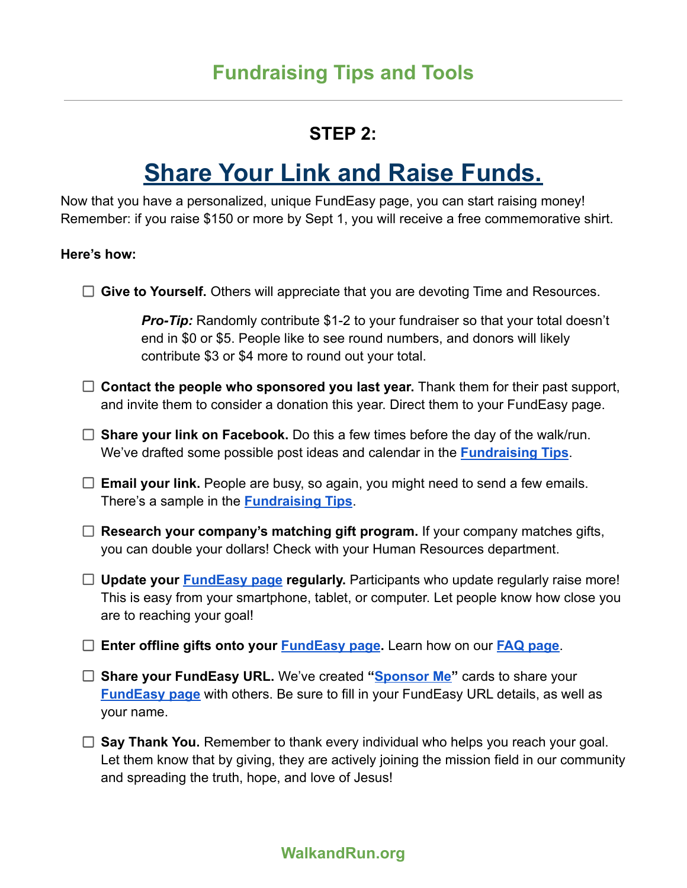#### **STEP 2:**

## **Share Your Link and Raise Funds.**

Now that you have a personalized, unique FundEasy page, you can start raising money! Remember: if you raise \$150 or more by Sept 1, you will receive a free commemorative shirt.

#### **Here's how:**

| $\Box$ Give to Yourself. Others will appreciate that you are devoting Time and Resources.                                                                                                                                     |
|-------------------------------------------------------------------------------------------------------------------------------------------------------------------------------------------------------------------------------|
| <b>Pro-Tip:</b> Randomly contribute \$1-2 to your fundraiser so that your total doesn't<br>end in \$0 or \$5. People like to see round numbers, and donors will likely<br>contribute \$3 or \$4 more to round out your total. |
| $\Box$ Contact the people who sponsored you last year. Thank them for their past support,<br>and invite them to consider a donation this year. Direct them to your FundEasy page.                                             |
| $\Box$ Share your link on Facebook. Do this a few times before the day of the walk/run.<br>We've drafted some possible post ideas and calendar in the <b>Fundraising Tips</b> .                                               |
| $\Box$ Email your link. People are busy, so again, you might need to send a few emails.<br>There's a sample in the <b>Fundraising Tips</b> .                                                                                  |
| Research your company's matching gift program. If your company matches gifts,<br>you can double your dollars! Check with your Human Resources department.                                                                     |
| $\Box$ Update your <b>FundEasy page regularly.</b> Participants who update regularly raise more!<br>This is easy from your smartphone, tablet, or computer. Let people know how close you<br>are to reaching your goal!       |
| Enter offline gifts onto your <b>FundEasy page</b> . Learn how on our <b>FAQ page</b> .                                                                                                                                       |
| □ Share your FundEasy URL. We've created "Sponsor Me" cards to share your<br><b>FundEasy page</b> with others. Be sure to fill in your FundEasy URL details, as well as<br>your name.                                         |

□ Say Thank You. Remember to thank every individual who helps you reach your goal. Let them know that by giving, they are actively joining the mission field in our community and spreading the truth, hope, and love of Jesus!

#### **WalkandRun.org**